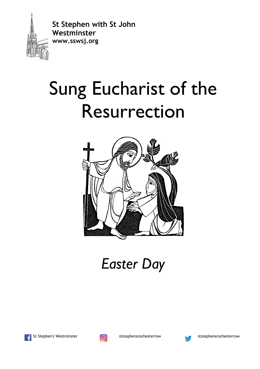

**St [Stephen](http://www.sswsj.org/) with St John [Westminster](http://www.sswsj.org/)  [www.sswsj.org](http://www.sswsj.org/)** 

# Sung Eucharist of the Resurrection



*Easter Day*





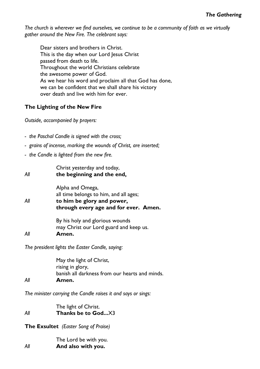*The church is wherever we find ourselves, we continue to be a community of faith as we virtually gather around the New Fire. The celebrant says:*

Dear sisters and brothers in Christ. This is the day when our Lord Jesus Christ passed from death to life. Throughout the world Christians celebrate the awesome power of God. As we hear his word and proclaim all that God has done, we can be confident that we shall share his victory over death and live with him for ever.

# **The Lighting of the New Fire**

*Outside, accompanied by prayers:*

- *the Paschal Candle is signed with the cross;*
- *grains of incense, marking the wounds of Christ, are inserted;*
- *- the Candle is lighted from the new fire.*

| All | Christ yesterday and today,<br>the beginning and the end,                                                                         |
|-----|-----------------------------------------------------------------------------------------------------------------------------------|
| All | Alpha and Omega,<br>all time belongs to him, and all ages;<br>to him be glory and power,<br>through every age and for ever. Amen. |
| All | By his holy and glorious wounds<br>may Christ our Lord guard and keep us.<br>Amen.                                                |
|     |                                                                                                                                   |

*The president lights the Easter Candle, saying:*

May the light of Christ, rising in glory, banish all darkness from our hearts and minds. *All* **Amen.**

*The minister carrying the Candle raises it and says or sings:*

The light of Christ. *All* **Thanks be to God...**X3

**The Exsultet** *(Easter Song of Praise)*

|     | The Lord be with you. |
|-----|-----------------------|
| All | And also with you.    |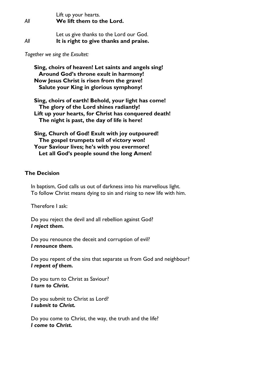| All | Lift up your hearts.<br>We lift them to the Lord.                                 |
|-----|-----------------------------------------------------------------------------------|
| All | Let us give thanks to the Lord our God.<br>It is right to give thanks and praise. |

*Together we sing the Exsultet:*

**Sing, choirs of heaven! Let saints and angels sing! Around God's throne exult in harmony! Now Jesus Christ is risen from the grave! Salute your King in glorious symphony!**

**Sing, choirs of earth! Behold, your light has come! The glory of the Lord shines radiantly! Lift up your hearts, for Christ has conquered death! The night is past, the day of life is here!**

**Sing, Church of God! Exult with joy outpoured! The gospel trumpets tell of victory won! Your Saviour lives; he's with you evermore! Let all God's people sound the long Amen!**

# **The Decision**

In baptism, God calls us out of darkness into his marvellous light. To follow Christ means dying to sin and rising to new life with him.

Therefore I ask:

Do you reject the devil and all rebellion against God? *I reject them.*

Do you renounce the deceit and corruption of evil? *I renounce them.*

Do you repent of the sins that separate us from God and neighbour? *I repent of them.*

Do you turn to Christ as Saviour? *I turn to Christ.*

Do you submit to Christ as Lord? *I submit to Christ.*

Do you come to Christ, the way, the truth and the life? *I come to Christ.*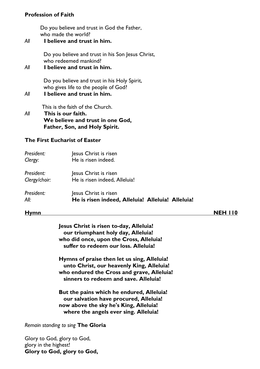# **Profession of Faith**

Do you believe and trust in God the Father, who made the world?

# *All* **I believe and trust in him.**

 Do you believe and trust in his Son Jesus Christ, who redeemed mankind?

# *All* **I believe and trust in him.**

 Do you believe and trust in his Holy Spirit, who gives life to the people of God?

*All* **I believe and trust in him.**

This is the faith of the Church.

*All* **This is our faith. We believe and trust in one God, Father, Son, and Holy Spirit.**

# **The First Eucharist of Easter**

| President:    | Jesus Christ is risen                             |
|---------------|---------------------------------------------------|
| Clergy:       | He is risen indeed.                               |
| President:    | Jesus Christ is risen                             |
| Clergy/choir: | He is risen indeed, Alleluia!                     |
| President:    | Jesus Christ is risen                             |
| All:          | He is risen indeed, Alleluia! Alleluia! Alleluia! |

# **[Hymn](https://www.youtube.com/watch?v=rMwPEmUMP7U) NEH 110**

**Jesus Christ is risen to-day, Alleluia! our triumphant holy day, Alleluia! who did once, upon the Cross, Alleluia! suffer to redeem our loss. Alleluia!**

**Hymns of praise then let us sing, Alleluia! unto Christ, our heavenly King, Alleluia! who endured the Cross and grave, Alleluia! sinners to redeem and save. Alleluia!**

**But the pains which he endured, Alleluia! our salvation have procured, Alleluia! now above the sky he's King, Alleluia! where the angels ever sing. Alleluia!**

# *Remain standing to sing* **The Gloria**

Glory to God, glory to God, glory in the highest! **Glory to God, glory to God,**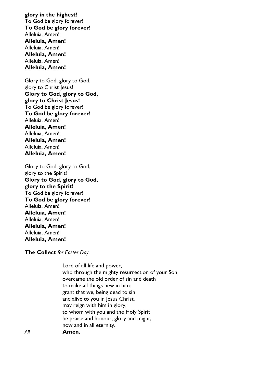**glory in the highest!** To God be glory forever! **To God be glory forever!** Alleluia, Amen! **Alleluia, Amen!** Alleluia, Amen! **Alleluia, Amen!** Alleluia, Amen! **Alleluia, Amen!**

Glory to God, glory to God, glory to Christ Jesus! **Glory to God, glory to God, glory to Christ Jesus!** To God be glory forever! **To God be glory forever!** Alleluia, Amen! **Alleluia, Amen!** Alleluia, Amen! **Alleluia, Amen!** Alleluia, Amen! **Alleluia, Amen!**

Glory to God, glory to God, glory to the Spirit! **Glory to God, glory to God, glory to the Spirit!** To God be glory forever! **To God be glory forever!** Alleluia, Amen! **Alleluia, Amen!** Alleluia, Amen! **Alleluia, Amen!** Alleluia, Amen! **Alleluia, Amen!**

**The Collect** *for Easter Day*

Lord of all life and power, who through the mighty resurrection of your Son overcame the old order of sin and death to make all things new in him: grant that we, being dead to sin and alive to you in Jesus Christ, may reign with him in glory; to whom with you and the Holy Spirit be praise and honour, glory and might, now and in all eternity. *All* **Amen.**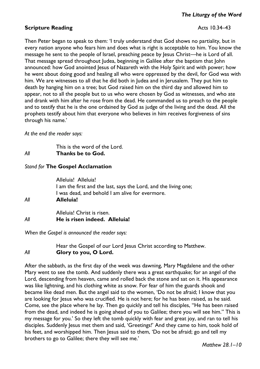# *The Liturgy of the Word*

# **Scripture Reading** Acts 10.34–43

Then Peter began to speak to them: 'I truly understand that God shows no partiality, but in every nation anyone who fears him and does what is right is acceptable to him. You know the message he sent to the people of Israel, preaching peace by Jesus Christ—he is Lord of all. That message spread throughout Judea, beginning in Galilee after the baptism that John announced: how God anointed Jesus of Nazareth with the Holy Spirit and with power; how he went about doing good and healing all who were oppressed by the devil, for God was with him. We are witnesses to all that he did both in Judea and in Jerusalem. They put him to death by hanging him on a tree; but God raised him on the third day and allowed him to appear, not to all the people but to us who were chosen by God as witnesses, and who ate and drank with him after he rose from the dead. He commanded us to preach to the people and to testify that he is the one ordained by God as judge of the living and the dead. All the prophets testify about him that everyone who believes in him receives forgiveness of sins through his name.'

*At the end the reader says:*

 This is the word of the Lord. *All* **Thanks be to God.**

# *Stand for* **The Gospel Acclamation**

Alleluia! Alleluia! I am the first and the last, says the Lord, and the living one; I was dead, and behold I am alive for evermore. *All* **Alleluia!**

 Alleluia! Christ is risen. *All* **He is risen indeed. Alleluia!** 

*When the Gospel is announced the reader says:*

 Hear the Gospel of our Lord Jesus Christ according to Matthew. *All* **Glory to you, O Lord.**

After the sabbath, as the first day of the week was dawning, Mary Magdalene and the other Mary went to see the tomb. And suddenly there was a great earthquake; for an angel of the Lord, descending from heaven, came and rolled back the stone and sat on it. His appearance was like lightning, and his clothing white as snow. For fear of him the guards shook and became like dead men. But the angel said to the women, 'Do not be afraid; I know that you are looking for Jesus who was crucified. He is not here; for he has been raised, as he said. Come, see the place where he lay. Then go quickly and tell his disciples, "He has been raised from the dead, and indeed he is going ahead of you to Galilee; there you will see him." This is my message for you.' So they left the tomb quickly with fear and great joy, and ran to tell his disciples. Suddenly Jesus met them and said, 'Greetings!' And they came to him, took hold of his feet, and worshipped him. Then Jesus said to them, 'Do not be afraid; go and tell my brothers to go to Galilee; there they will see me.'

*Matthew 28.1–10*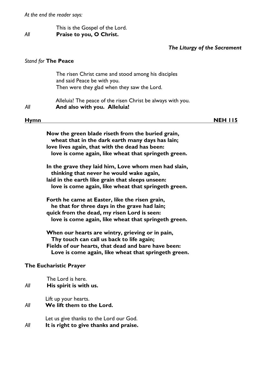*At the end the reader says:*

# This is the Gospel of the Lord. *All* **Praise to you, O Christ.**

# *The Liturgy of the Sacrament*

# *Stand for* **The Peace**

|             | The risen Christ came and stood among his disciples<br>and said Peace be with you.                                                                                                                              |                |
|-------------|-----------------------------------------------------------------------------------------------------------------------------------------------------------------------------------------------------------------|----------------|
|             | Then were they glad when they saw the Lord.                                                                                                                                                                     |                |
| All         | Alleluia! The peace of the risen Christ be always with you.<br>And also with you. Alleluia!                                                                                                                     |                |
| <u>Hymn</u> |                                                                                                                                                                                                                 | <b>NEH 115</b> |
|             | Now the green blade riseth from the buried grain,<br>wheat that in the dark earth many days has lain;<br>love lives again, that with the dead has been:<br>love is come again, like wheat that springeth green. |                |
|             | In the grave they laid him, Love whom men had slain,<br>thinking that never he would wake again,                                                                                                                |                |
|             | laid in the earth like grain that sleeps unseen:<br>love is come again, like wheat that springeth green.                                                                                                        |                |
|             | Forth he came at Easter, like the risen grain,<br>he that for three days in the grave had lain;<br>quick from the dead, my risen Lord is seen:<br>love is come again, like wheat that springeth green.          |                |
|             | When our hearts are wintry, grieving or in pain,<br>Thy touch can call us back to life again;<br>Fields of our hearts, that dead and bare have been:<br>Love is come again, like wheat that springeth green.    |                |
|             | <b>The Eucharistic Prayer</b>                                                                                                                                                                                   |                |
| All         | The Lord is here.<br>His spirit is with us.                                                                                                                                                                     |                |
| All         | Lift up your hearts.<br>We lift them to the Lord.                                                                                                                                                               |                |
| 11          | Let us give thanks to the Lord our God.                                                                                                                                                                         |                |

*All* **It is right to give thanks and praise.**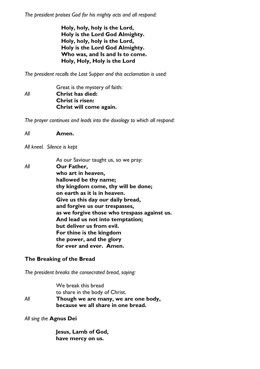*The president praises God for his mighty acts and all respond:*

**Holy, holy, holy is the Lord, Holy is the Lord God Almighty. Holy, holy, holy is the Lord, Holy is the Lord God Almighty. Who was, and Is and Is to come. Holy, Holy, Holy is the Lord**

*The president recalls the Last Supper and this acclamation is used:*

 Great is the mystery of faith: *All* **Christ has died: Christ is risen: Christ will come again.**

*The prayer continues and leads into the doxology to which all respond:*

# *All* **Amen.**

*All kneel. Silence is kept*

 As our Saviour taught us, so we pray: *All* **Our Father, who art in heaven, hallowed be thy name; thy kingdom come, thy will be done; on earth as it is in heaven. Give us this day our daily bread, and forgive us our trespasses, as we forgive those who trespass against us. And lead us not into temptation; but deliver us from evil. For thine is the kingdom the power, and the glory for ever and ever. Amen.**

# **The Breaking of the Bread**

*The president breaks the consecrated bread, saying:*

|     | We break this bread                  |
|-----|--------------------------------------|
|     | to share in the body of Christ.      |
| All | Though we are many, we are one body, |
|     | because we all share in one bread.   |

*All sing the* **Agnus Dei**

**Jesus, Lamb of God, have mercy on us.**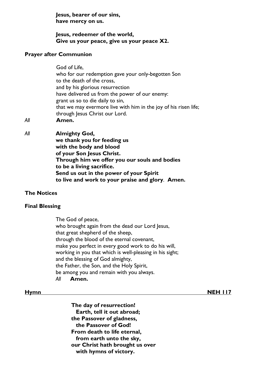**Jesus, bearer of our sins, have mercy on us.**

**Jesus, redeemer of the world, Give us your peace, give us your peace X2.**

## **Prayer after Communion**

God of Life, who for our redemption gave your only-begotten Son to the death of the cross, and by his glorious resurrection have delivered us from the power of our enemy: grant us so to die daily to sin, that we may evermore live with him in the joy of his risen life; through Jesus Christ our Lord.

*All* **Amen.**

*All* **Almighty God,** **we thank you for feeding us with the body and blood of your Son Jesus Christ. Through him we offer you our souls and bodies to be a living sacrifice. Send us out in the power of your Spirit to live and work to your praise and glory**. **Amen.**

# **The Notices**

## **Final Blessing**

The God of peace, who brought again from the dead our Lord Jesus, that great shepherd of the sheep, through the blood of the eternal covenant, make you perfect in every good work to do his will, working in you that which is well-pleasing in his sight; and the blessing of God almighty, the Father, the Son, and the Holy Spirit, be among you and remain with you always. *All* **Amen.**

**[Hymn](https://www.youtube.com/watch?v=MgIx_0jhW1Y) NEH 117**

**The day of resurrection! Earth, tell it out abroad; the Passover of gladness, the Passover of God! From death to life eternal, from earth unto the sky, our Christ hath brought us over with hymns of victory.**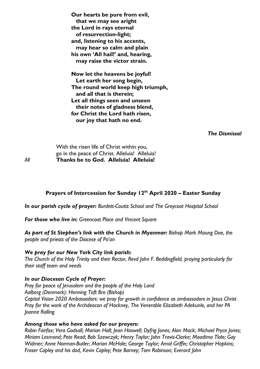**Our hearts be pure from evil, that we may see aright the Lord in rays eternal of resurrection-light; and, listening to his accents, may hear so calm and plain his own 'All hail!' and, hearing, may raise the victor strain. Now let the heavens be joyful!**

 **Let earth her song begin, The round world keep high triumph, and all that is therein; Let all things seen and unseen their notes of gladness blend, for Christ the Lord hath risen, our joy that hath no end.**

*The Dismissal*

With the risen life of Christ within you, go in the peace of Christ. Alleluia! Alleluia! *All* **Thanks be to God. Alleluia! Alleluia!**

# **Prayers of Intercession for Sunday 12th April 2020 – Easter Sunday**

# *In our parish cycle of prayer: Burdett-Coutts School and The Greycoat Hospital School*

*For those who live in: Greencoat Place and Vincent Square*

*As part of St Stephen's link with the Church in Myanmar: Bishop Mark Maung Doe, the people and priests of the Diocese of Pa'an*

# *We pray for our New York City link parish:*

*The Church of the Holy Trinity and their Rector, Revd John F. Beddingfield, praying particularly for their staff team and needs*

# *In our Diocesan Cycle of Prayer:*

*Pray for peace of Jerusalem and the people of the Holy Land Aalborg (Denmark): Henning Toft Bro (Bishop) Capital Vision 2020 Ambassadors: we pray for growth in confidence as ambassadors in Jesus Christ Pray for the work of the Archdeacon of Hackney, The Venerable Elizabeth Adekunle, and her PA Joanne Rolling*

# *Among those who have asked for our prayers:*

*Robin Fairfax; Vera Godsall; Marian Hall; Jean Haswell; Dyfrig Jones; Alan Mack; Michael Pryce Jones; Miriam Lesmond; Pete Read; Bob Szewczyk; Henry Taylor; John Travis-Clarke; Maadimo Tlale; Gay Widmer; Anne Norman-Butler; Marian McHale; George Taylor; Amal Griffin; Christopher Hopkins; Fraser Copley and his dad, Kevin Copley; Pete Barney; Tom Robinson; Everard John*